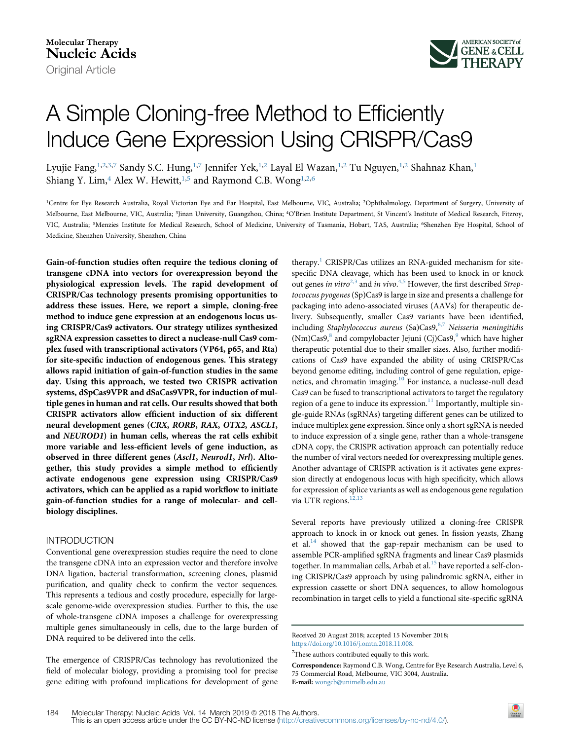

# A Simple Cloning-free Method to Efficiently Induce Gene Expression Using CRISPR/Cas9

Lyujie Fang,<sup>1,2,[3,](#page-0-1)7</sup> Sandy S.C. Hung,<sup>[1,](#page-0-0)7</sup> Jennifer Yek,<sup>[1,2](#page-0-0)</sup> Layal El Wazan,<sup>[1](#page-0-0),2</sup> Tu Nguyen,<sup>1,2</sup> Shahnaz Khan,<sup>1</sup> Shiang Y. Lim,<sup>[4](#page-0-1)</sup> Alex W. Hewitt,<sup>[1,](#page-0-0)[5](#page-0-2)</sup> and Raymond C.B. Wong<sup>[1](#page-0-0),[2,](#page-0-0)[6](#page-0-2)</sup>

<span id="page-0-2"></span><span id="page-0-1"></span><span id="page-0-0"></span><sup>1</sup>Centre for Eye Research Australia, Royal Victorian Eye and Ear Hospital, East Melbourne, VIC, Australia; <sup>2</sup>Ophthalmology, Department of Surgery, University of Melbourne, East Melbourne, VIC, Australia; 3Jinan University, Guangzhou, China; 4O'Brien Institute Department, St Vincent's Institute of Medical Research, Fitzroy, VIC, Australia; <sup>5</sup>Menzies Institute for Medical Research, School of Medicine, University of Tasmania, Hobart, TAS, Australia; <sup>6</sup>Shenzhen Eye Hospital, School of Medicine, Shenzhen University, Shenzhen, China

Gain-of-function studies often require the tedious cloning of transgene cDNA into vectors for overexpression beyond the physiological expression levels. The rapid development of CRISPR/Cas technology presents promising opportunities to address these issues. Here, we report a simple, cloning-free method to induce gene expression at an endogenous locus using CRISPR/Cas9 activators. Our strategy utilizes synthesized sgRNA expression cassettes to direct a nuclease-null Cas9 complex fused with transcriptional activators (VP64, p65, and Rta) for site-specific induction of endogenous genes. This strategy allows rapid initiation of gain-of-function studies in the same day. Using this approach, we tested two CRISPR activation systems, dSpCas9VPR and dSaCas9VPR, for induction of multiple genes in human and rat cells. Our results showed that both CRISPR activators allow efficient induction of six different neural development genes (CRX, RORB, RAX, OTX2, ASCL1, and NEUROD1) in human cells, whereas the rat cells exhibit more variable and less-efficient levels of gene induction, as observed in three different genes (Ascl1, Neurod1, Nrl). Altogether, this study provides a simple method to efficiently activate endogenous gene expression using CRISPR/Cas9 activators, which can be applied as a rapid workflow to initiate gain-of-function studies for a range of molecular- and cellbiology disciplines.

## INTRODUCTION

Conventional gene overexpression studies require the need to clone the transgene cDNA into an expression vector and therefore involve DNA ligation, bacterial transformation, screening clones, plasmid purification, and quality check to confirm the vector sequences. This represents a tedious and costly procedure, especially for largescale genome-wide overexpression studies. Further to this, the use of whole-transgene cDNA imposes a challenge for overexpressing multiple genes simultaneously in cells, due to the large burden of DNA required to be delivered into the cells.

The emergence of CRISPR/Cas technology has revolutionized the field of molecular biology, providing a promising tool for precise gene editing with profound implications for development of gene

therapy.<sup>[1](#page-6-0)</sup> CRISPR/Cas utilizes an RNA-guided mechanism for sitespecific DNA cleavage, which has been used to knock in or knock out genes in vitro $^{2,3}$  $^{2,3}$  $^{2,3}$  and in vivo.<sup>[4,5](#page-6-2)</sup> However, the first described Streptococcus pyogenes (Sp)Cas9 is large in size and presents a challenge for packaging into adeno-associated viruses (AAVs) for therapeutic delivery. Subsequently, smaller Cas9 variants have been identified, including Staphylococcus aureus  $(Sa)Cas9,$ <sup>[6,7](#page-6-3)</sup> Neisseria meningitidis (Nm)Cas[9](#page-6-5), $8$  and compylobacter Jejuni (Cj)Cas9, $9$  which have higher therapeutic potential due to their smaller sizes. Also, further modifications of Cas9 have expanded the ability of using CRISPR/Cas beyond genome editing, including control of gene regulation, epige-netics, and chromatin imaging.<sup>[10](#page-6-6)</sup> For instance, a nuclease-null dead Cas9 can be fused to transcriptional activators to target the regulatory region of a gene to induce its expression. $11$  Importantly, multiple single-guide RNAs (sgRNAs) targeting different genes can be utilized to induce multiplex gene expression. Since only a short sgRNA is needed to induce expression of a single gene, rather than a whole-transgene cDNA copy, the CRISPR activation approach can potentially reduce the number of viral vectors needed for overexpressing multiple genes. Another advantage of CRISPR activation is it activates gene expression directly at endogenous locus with high specificity, which allows for expression of splice variants as well as endogenous gene regulation via UTR regions.<sup>[12,13](#page-6-8)</sup>

Several reports have previously utilized a cloning-free CRISPR approach to knock in or knock out genes. In fission yeasts, Zhang et al. $<sup>14</sup>$  showed that the gap-repair mechanism can be used to</sup> assemble PCR-amplified sgRNA fragments and linear Cas9 plasmids together. In mammalian cells, Arbab et al.<sup>[15](#page-6-10)</sup> have reported a self-cloning CRISPR/Cas9 approach by using palindromic sgRNA, either in expression cassette or short DNA sequences, to allow homologous recombination in target cells to yield a functional site-specific sgRNA

Correspondence: Raymond C.B. Wong, Centre for Eye Research Australia, Level 6, 75 Commercial Road, Melbourne, VIC 3004, Australia. E-mail: [wongcb@unimelb.edu.au](mailto:wongcb@unimelb.edu.au)

 $\bigcirc$ <br>Check for

Received 20 August 2018; accepted 15 November 2018; <https://doi.org/10.1016/j.omtn.2018.11.008>.

<sup>&</sup>lt;sup>7</sup>These authors contributed equally to this work.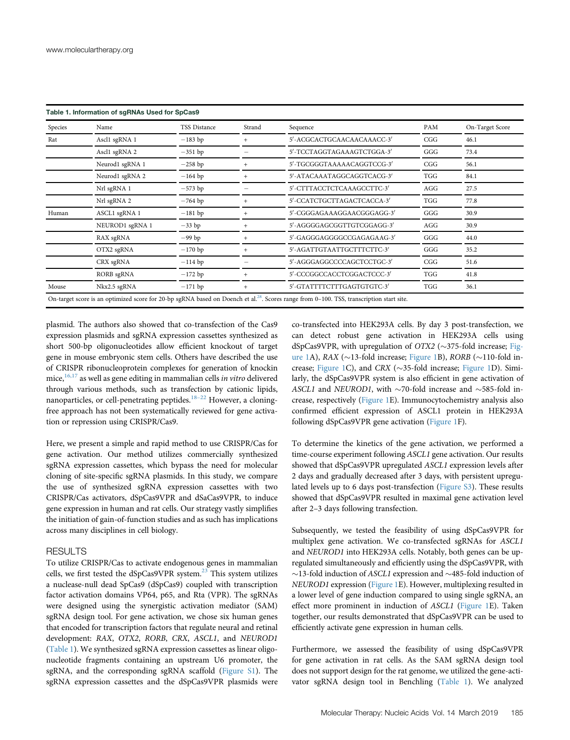<span id="page-1-0"></span>

| Species | Name            | <b>TSS Distance</b> | Strand | Sequence                   | PAM        | On-Target Score |
|---------|-----------------|---------------------|--------|----------------------------|------------|-----------------|
| Rat     | Ascl1 sgRNA 1   | $-183$ bp           |        | 5'-ACGCACTGCAACAACAAACC-3' | CGG        | 46.1            |
|         | Ascl1 sgRNA 2   | $-351$ bp           |        | 5'-TCCTAGGTAGAAAGTCTGGA-3' | GGG        | 73.4            |
|         | Neurod1 sgRNA 1 | $-258$ bp           | $+$    | 5'-TGCGGGTAAAAACAGGTCCG-3' | CGG        | 56.1            |
|         | Neurod1 sgRNA 2 | $-164$ bp           |        | 5'-ATACAAATAGGCAGGTCACG-3' | <b>TGG</b> | 84.1            |
|         | Nrl sgRNA 1     | $-573$ bp           |        | 5'-CTTTACCTCTCAAAGCCTTC-3' | AGG        | 27.5            |
|         | Nrl sgRNA 2     | $-764$ bp           | $^{+}$ | 5'-CCATCTGCTTAGACTCACCA-3' | TGG        | 77.8            |
| Human   | ASCL1 sgRNA 1   | $-181$ bp           |        | 5'-CGGGAGAAAGGAACGGGAGG-3' | GGG        | 30.9            |
|         | NEUROD1 sgRNA 1 | $-33$ bp            | $^{+}$ | 5'-AGGGGAGCGGTTGTCGGAGG-3' | AGG        | 30.9            |
|         | RAX sgRNA       | $-99$ bp            | $^{+}$ | 5'-GAGGGAGGGCCCGAGAGAAG-3' | GGG        | 44.0            |
|         | OTX2 sgRNA      | $-170$ bp           |        | 5'-AGATTGTAATTGCTTTCTTC-3' | GGG        | 35.2            |
|         | CRX sgRNA       | $-114$ bp           |        | 5'-AGGGAGGCCCCAGCTCCTGC-3' | CGG        | 51.6            |
|         | RORB sgRNA      | $-172$ bp           | $^{+}$ | 5'-CCCGGCCACCTCGGACTCCC-3' | TGG        | 41.8            |
| Mouse   | Nkx2.5 sgRNA    | $-171$ bp           | $^{+}$ | 5'-GTATTTTCTTTGAGTGTGTC-3' | <b>TGG</b> | 36.1            |

plasmid. The authors also showed that co-transfection of the Cas9 expression plasmids and sgRNA expression cassettes synthesized as short 500-bp oligonucleotides allow efficient knockout of target gene in mouse embryonic stem cells. Others have described the use of CRISPR ribonucleoprotein complexes for generation of knockin mice, $16,17$  as well as gene editing in mammalian cells in vitro delivered through various methods, such as transfection by cationic lipids, nanoparticles, or cell-penetrating peptides.<sup>[18](#page-6-12)–22</sup> However, a cloningfree approach has not been systematically reviewed for gene activation or repression using CRISPR/Cas9.

Here, we present a simple and rapid method to use CRISPR/Cas for gene activation. Our method utilizes commercially synthesized sgRNA expression cassettes, which bypass the need for molecular cloning of site-specific sgRNA plasmids. In this study, we compare the use of synthesized sgRNA expression cassettes with two CRISPR/Cas activators, dSpCas9VPR and dSaCas9VPR, to induce gene expression in human and rat cells. Our strategy vastly simplifies the initiation of gain-of-function studies and as such has implications across many disciplines in cell biology.

## **RESULTS**

To utilize CRISPR/Cas to activate endogenous genes in mammalian cells, we first tested the dSpCas9VPR system.<sup>[23](#page-6-13)</sup> This system utilizes a nuclease-null dead SpCas9 (dSpCas9) coupled with transcription factor activation domains VP64, p65, and Rta (VPR). The sgRNAs were designed using the synergistic activation mediator (SAM) sgRNA design tool. For gene activation, we chose six human genes that encoded for transcription factors that regulate neural and retinal development: RAX, OTX2, RORB, CRX, ASCL1, and NEUROD1 ([Table 1](#page-1-0)). We synthesized sgRNA expression cassettes as linear oligonucleotide fragments containing an upstream U6 promoter, the sgRNA, and the corresponding sgRNA scaffold [\(Figure S1\)](#page-6-14). The sgRNA expression cassettes and the dSpCas9VPR plasmids were

co-transfected into HEK293A cells. By day 3 post-transfection, we can detect robust gene activation in HEK293A cells using dSpCas9VPR, with upregulation of OTX2 ( $\sim$ 375-fold increase; [Fig](#page-2-0)[ure 1A](#page-2-0)), RAX ( $\sim$ 13-fold increase; [Figure 1](#page-2-0)B), RORB ( $\sim$ 110-fold in-crease; [Figure 1](#page-2-0)C), and CRX ( $\sim$ 35-fold increase; [Figure 1D](#page-2-0)). Similarly, the dSpCas9VPR system is also efficient in gene activation of ASCL1 and NEUROD1, with  $\sim$ 70-fold increase and  $\sim$ 585-fold increase, respectively ([Figure 1](#page-2-0)E). Immunocytochemistry analysis also confirmed efficient expression of ASCL1 protein in HEK293A following dSpCas9VPR gene activation ([Figure 1](#page-2-0)F).

To determine the kinetics of the gene activation, we performed a time-course experiment following ASCL1 gene activation. Our results showed that dSpCas9VPR upregulated ASCL1 expression levels after 2 days and gradually decreased after 3 days, with persistent upregulated levels up to 6 days post-transfection [\(Figure S3](#page-6-14)). These results showed that dSpCas9VPR resulted in maximal gene activation level after 2–3 days following transfection.

Subsequently, we tested the feasibility of using dSpCas9VPR for multiplex gene activation. We co-transfected sgRNAs for ASCL1 and NEUROD1 into HEK293A cells. Notably, both genes can be upregulated simultaneously and efficiently using the dSpCas9VPR, with  $\sim$ 13-fold induction of ASCL1 expression and  $\sim$ 485-fold induction of NEUROD1 expression ([Figure 1E](#page-2-0)). However, multiplexing resulted in a lower level of gene induction compared to using single sgRNA, an effect more prominent in induction of ASCL1 [\(Figure 1E](#page-2-0)). Taken together, our results demonstrated that dSpCas9VPR can be used to efficiently activate gene expression in human cells.

Furthermore, we assessed the feasibility of using dSpCas9VPR for gene activation in rat cells. As the SAM sgRNA design tool does not support design for the rat genome, we utilized the gene-activator sgRNA design tool in Benchling [\(Table 1](#page-1-0)). We analyzed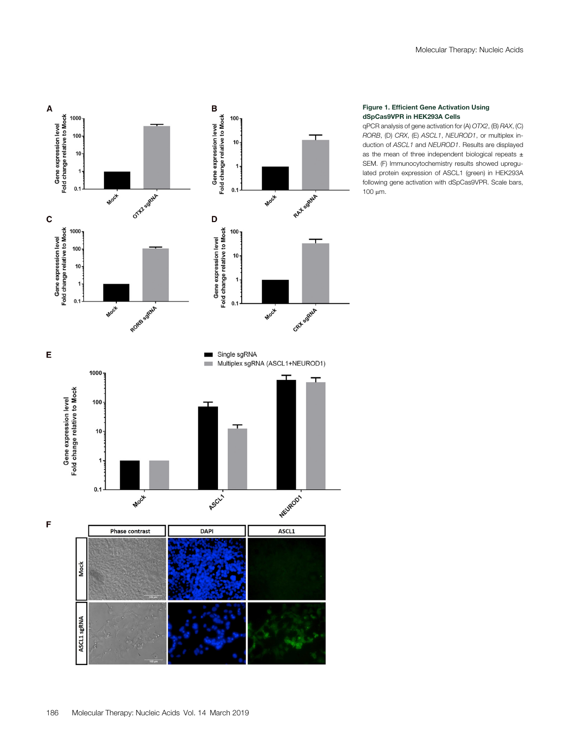<span id="page-2-0"></span>

#### Figure 1. Efficient Gene Activation Using dSpCas9VPR in HEK293A Cells

qPCR analysis of gene activation for (A) OTX2, (B) RAX, (C) RORB, (D) CRX, (E) ASCL1, NEUROD1, or multiplex induction of ASCL1 and NEUROD1. Results are displayed as the mean of three independent biological repeats  $\pm$ SEM. (F) Immunocytochemistry results showed upregulated protein expression of ASCL1 (green) in HEK293A following gene activation with dSpCas9VPR. Scale bars, 100 μm.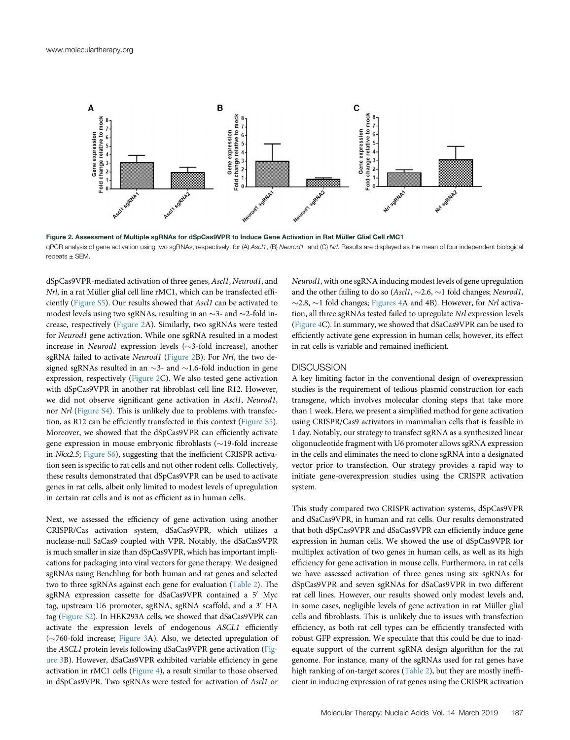<span id="page-3-0"></span>

Figure 2. Assessment of Multiple sgRNAs for dSpCas9VPR to Induce Gene Activation in Rat Müller Glial Cell rMC1 qPCR analysis of gene activation using two sgRNAs, respectively, for (A) Ascl1, (B) Neurod1, and (C) Nrl. Results are displayed as the mean of four independent biological repeats ± SEM.

dSpCas9VPR-mediated activation of three genes, Ascl1, Neurod1, and Nrl, in a rat Müller glial cell line rMC1, which can be transfected efficiently ([Figure S5\)](#page-6-14). Our results showed that Ascl1 can be activated to modest levels using two sgRNAs, resulting in an  $\sim$ 3- and  $\sim$ 2-fold increase, respectively [\(Figure 2A](#page-3-0)). Similarly, two sgRNAs were tested for Neurod1 gene activation. While one sgRNA resulted in a modest increase in Neurod1 expression levels ( $\sim$ 3-fold increase), another sgRNA failed to activate Neurod1 ([Figure 2B](#page-3-0)). For Nrl, the two designed sgRNAs resulted in an  $\sim$ 3- and  $\sim$ 1.6-fold induction in gene expression, respectively [\(Figure 2](#page-3-0)C). We also tested gene activation with dSpCas9VPR in another rat fibroblast cell line R12. However, we did not observe significant gene activation in Ascl1, Neurod1, nor Nrl ([Figure S4\)](#page-6-14). This is unlikely due to problems with transfection, as R12 can be efficiently transfected in this context [\(Figure S5\)](#page-6-14). Moreover, we showed that the dSpCas9VPR can efficiently activate gene expression in mouse embryonic fibroblasts  $(\sim 19\text{-fold})$  increase in Nkx2.5; [Figure S6](#page-6-14)), suggesting that the inefficient CRISPR activation seen is specific to rat cells and not other rodent cells. Collectively, these results demonstrated that dSpCas9VPR can be used to activate genes in rat cells, albeit only limited to modest levels of upregulation in certain rat cells and is not as efficient as in human cells.

Next, we assessed the efficiency of gene activation using another CRISPR/Cas activation system, dSaCas9VPR, which utilizes a nuclease-null SaCas9 coupled with VPR. Notably, the dSaCas9VPR is much smaller in size than dSpCas9VPR, which has important implications for packaging into viral vectors for gene therapy. We designed sgRNAs using Benchling for both human and rat genes and selected two to three sgRNAs against each gene for evaluation [\(Table 2](#page-4-0)). The sgRNA expression cassette for dSaCas9VPR contained a 5' Myc tag, upstream U6 promoter, sgRNA, sgRNA scaffold, and a 3' HA tag [\(Figure S2](#page-6-14)). In HEK293A cells, we showed that dSaCas9VPR can activate the expression levels of endogenous ASCL1 efficiently ( $\sim$ 760-fold increase; [Figure 3](#page-5-0)A). Also, we detected upregulation of the ASCL1 protein levels following dSaCas9VPR gene activation ([Fig](#page-5-0)[ure 3](#page-5-0)B). However, dSaCas9VPR exhibited variable efficiency in gene activation in rMC1 cells ([Figure 4](#page-5-1)), a result similar to those observed in dSpCas9VPR. Two sgRNAs were tested for activation of Ascl1 or

Neurod1, with one sgRNA inducing modest levels of gene upregulation and the other failing to do so (Ascl1,  $\sim$ 2.6,  $\sim$ 1 fold changes; Neurod1,  $\sim$ 2.8,  $\sim$ 1 fold changes; [Figures 4A](#page-5-1) and 4B). However, for *Nrl* activation, all three sgRNAs tested failed to upregulate Nrl expression levels ([Figure 4C](#page-5-1)). In summary, we showed that dSaCas9VPR can be used to efficiently activate gene expression in human cells; however, its effect in rat cells is variable and remained inefficient.

#### **DISCUSSION**

A key limiting factor in the conventional design of overexpression studies is the requirement of tedious plasmid construction for each transgene, which involves molecular cloning steps that take more than 1 week. Here, we present a simplified method for gene activation using CRISPR/Cas9 activators in mammalian cells that is feasible in 1 day. Notably, our strategy to transfect sgRNA as a synthesized linear oligonucleotide fragment with U6 promoter allows sgRNA expression in the cells and eliminates the need to clone sgRNA into a designated vector prior to transfection. Our strategy provides a rapid way to initiate gene-overexpression studies using the CRISPR activation system.

This study compared two CRISPR activation systems, dSpCas9VPR and dSaCas9VPR, in human and rat cells. Our results demonstrated that both dSpCas9VPR and dSaCas9VPR can efficiently induce gene expression in human cells. We showed the use of dSpCas9VPR for multiplex activation of two genes in human cells, as well as its high efficiency for gene activation in mouse cells. Furthermore, in rat cells we have assessed activation of three genes using six sgRNAs for dSpCas9VPR and seven sgRNAs for dSaCas9VPR in two different rat cell lines. However, our results showed only modest levels and, in some cases, negligible levels of gene activation in rat Müller glial cells and fibroblasts. This is unlikely due to issues with transfection efficiency, as both rat cell types can be efficiently transfected with robust GFP expression. We speculate that this could be due to inadequate support of the current sgRNA design algorithm for the rat genome. For instance, many of the sgRNAs used for rat genes have high ranking of on-target scores [\(Table 2\)](#page-4-0), but they are mostly inefficient in inducing expression of rat genes using the CRISPR activation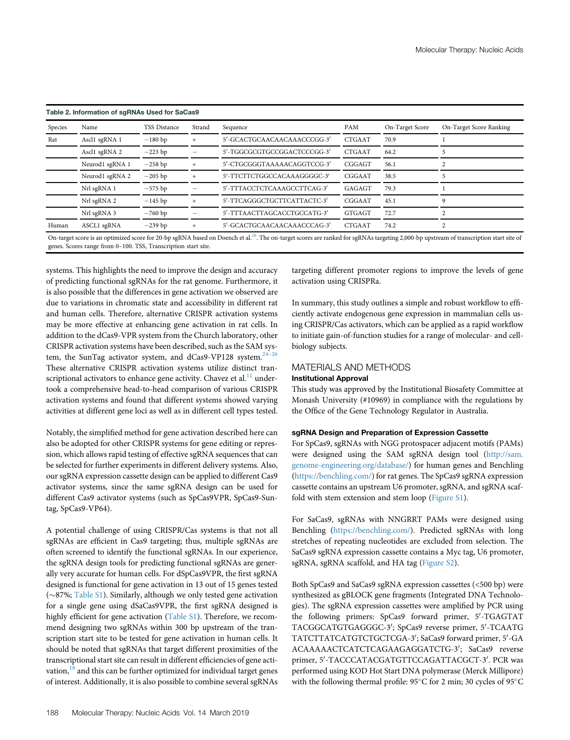<span id="page-4-0"></span>

| Species | Name            | <b>TSS Distance</b> | Strand | Sequence                    | PAM           | On-Target Score | On-Target Score Ranking |
|---------|-----------------|---------------------|--------|-----------------------------|---------------|-----------------|-------------------------|
| Rat     | Ascl1 sgRNA 1   | $-180$ bp           |        | 5'-GCACTGCAACAACAAACCCGG-3' | <b>CTGAAT</b> | 70.9            |                         |
|         | Ascl1 sgRNA 2   | $-223$ bp           |        | 5'-TGGCGCGTGCCGGACTCCCGG-3' | <b>CTGAAT</b> | 64.2            |                         |
|         | Neurod1 sgRNA 1 | $-258$ bp           |        | 5'-CTGCGGGTAAAAACAGGTCCG-3' | CGGAGT        | 56.1            |                         |
|         | Neurod1 sgRNA 2 | $-205$ bp           |        | 5'-TTCTTCTGGCCACAAAGGGGC-3' | CGGAAT        | 38.5            |                         |
|         | Nrl sgRNA 1     | $-575$ bp           |        | 5'-TTTACCTCTCAAAGCCTTCAG-3' | GAGAGT        | 79.3            |                         |
|         | Nrl sgRNA 2     | $-145$ bp           |        | 5'-TTCAGGGCTGCTTCATTACTC-3' | CGGAAT        | 45.1            | 9                       |
|         | Nrl sgRNA 3     | $-760$ bp           |        | 5'-TTTAACTTAGCACCTGCCATG-3' | <b>GTGAGT</b> | 72.7            |                         |
| Human   | ASCL1 sgRNA     | $-239$ bp           |        | 5'-GCACTGCAACAACAAACCCAG-3' | <b>CTGAAT</b> | 74.2            |                         |

genes. Scores range from 0–100. TSS, Transcription start site.

systems. This highlights the need to improve the design and accuracy of predicting functional sgRNAs for the rat genome. Furthermore, it is also possible that the differences in gene activation we observed are due to variations in chromatic state and accessibility in different rat and human cells. Therefore, alternative CRISPR activation systems may be more effective at enhancing gene activation in rat cells. In addition to the dCas9-VPR system from the Church laboratory, other CRISPR activation systems have been described, such as the SAM sys-tem, the SunTag activator system, and dCas9-VP128 system.<sup>24-[26](#page-6-15)</sup> These alternative CRISPR activation systems utilize distinct transcriptional activators to enhance gene activity. Chavez et al. $^{11}$  $^{11}$  $^{11}$  undertook a comprehensive head-to-head comparison of various CRISPR activation systems and found that different systems showed varying activities at different gene loci as well as in different cell types tested.

Notably, the simplified method for gene activation described here can also be adopted for other CRISPR systems for gene editing or repression, which allows rapid testing of effective sgRNA sequences that can be selected for further experiments in different delivery systems. Also, our sgRNA expression cassette design can be applied to different Cas9 activator systems, since the same sgRNA design can be used for different Cas9 activator systems (such as SpCas9VPR, SpCas9-Suntag, SpCas9-VP64).

A potential challenge of using CRISPR/Cas systems is that not all sgRNAs are efficient in Cas9 targeting; thus, multiple sgRNAs are often screened to identify the functional sgRNAs. In our experience, the sgRNA design tools for predicting functional sgRNAs are generally very accurate for human cells. For dSpCas9VPR, the first sgRNA designed is functional for gene activation in 13 out of 15 genes tested  $(\sim$ 87%; [Table S1](#page-6-14)). Similarly, although we only tested gene activation for a single gene using dSaCas9VPR, the first sgRNA designed is highly efficient for gene activation ([Table S1\)](#page-6-14). Therefore, we recommend designing two sgRNAs within 300 bp upstream of the transcription start site to be tested for gene activation in human cells. It should be noted that sgRNAs that target different proximities of the transcriptional start site can result in different efficiencies of gene activation, $18$  and this can be further optimized for individual target genes of interest. Additionally, it is also possible to combine several sgRNAs targeting different promoter regions to improve the levels of gene activation using CRISPRa.

In summary, this study outlines a simple and robust workflow to efficiently activate endogenous gene expression in mammalian cells using CRISPR/Cas activators, which can be applied as a rapid workflow to initiate gain-of-function studies for a range of molecular- and cellbiology subjects.

# MATERIALS AND METHODS

## Institutional Approval

This study was approved by the Institutional Biosafety Committee at Monash University (#10969) in compliance with the regulations by the Office of the Gene Technology Regulator in Australia.

## sgRNA Design and Preparation of Expression Cassette

For SpCas9, sgRNAs with NGG protospacer adjacent motifs (PAMs) were designed using the SAM sgRNA design tool ([http://sam.](http://sam.genome-engineering.org/database/) [genome-engineering.org/database/](http://sam.genome-engineering.org/database/)) for human genes and Benchling (<https://benchling.com/>) for rat genes. The SpCas9 sgRNA expression cassette contains an upstream U6 promoter, sgRNA, and sgRNA scaffold with stem extension and stem loop ([Figure S1\)](#page-6-14).

For SaCas9, sgRNAs with NNGRRT PAMs were designed using Benchling (<https://benchling.com/>). Predicted sgRNAs with long stretches of repeating nucleotides are excluded from selection. The SaCas9 sgRNA expression cassette contains a Myc tag, U6 promoter, sgRNA, sgRNA scaffold, and HA tag [\(Figure S2\)](#page-6-14).

Both SpCas9 and SaCas9 sgRNA expression cassettes (<500 bp) were synthesized as gBLOCK gene fragments (Integrated DNA Technologies). The sgRNA expression cassettes were amplified by PCR using the following primers: SpCas9 forward primer, 5'-TGAGTAT TACGGCATGTGAGGGC-3<sup>0</sup> ; SpCas9 reverse primer, 5<sup>0</sup> -TCAATG TATCTTATCATGTCTGCTCGA-3'; SaCas9 forward primer, 5'-GA ACAAAAACTCATCTCAGAAGAGGATCTG-3'; SaCas9 reverse primer, 5'-TACCCATACGATGTTCCAGATTACGCT-3'. PCR was performed using KOD Hot Start DNA polymerase (Merck Millipore) with the following thermal profile:  $95^{\circ}$ C for 2 min; 30 cycles of  $95^{\circ}$ C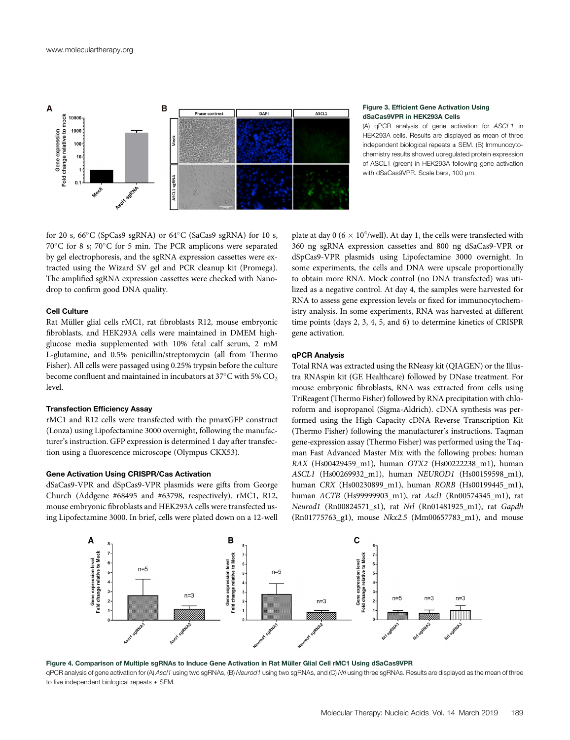<span id="page-5-0"></span>

#### Figure 3. Efficient Gene Activation Using dSaCas9VPR in HEK293A Cells

(A) qPCR analysis of gene activation for ASCL1 in HEK293A cells. Results are displayed as mean of three independent biological repeats  $\pm$  SEM. (B) Immunocytochemistry results showed upregulated protein expression of ASCL1 (green) in HEK293A following gene activation with dSaCas9VPR. Scale bars, 100 um.

for 20 s, 66 $\degree$ C (SpCas9 sgRNA) or 64 $\degree$ C (SaCas9 sgRNA) for 10 s,  $70^{\circ}$ C for 8 s;  $70^{\circ}$ C for 5 min. The PCR amplicons were separated by gel electrophoresis, and the sgRNA expression cassettes were extracted using the Wizard SV gel and PCR cleanup kit (Promega). The amplified sgRNA expression cassettes were checked with Nanodrop to confirm good DNA quality.

#### Cell Culture

Rat Müller glial cells rMC1, rat fibroblasts R12, mouse embryonic fibroblasts, and HEK293A cells were maintained in DMEM highglucose media supplemented with 10% fetal calf serum, 2 mM L-glutamine, and 0.5% penicillin/streptomycin (all from Thermo Fisher). All cells were passaged using 0.25% trypsin before the culture become confluent and maintained in incubators at  $37^{\circ}$ C with 5% CO<sub>2</sub> level.

#### Transfection Efficiency Assay

rMC1 and R12 cells were transfected with the pmaxGFP construct (Lonza) using Lipofectamine 3000 overnight, following the manufacturer's instruction. GFP expression is determined 1 day after transfection using a fluorescence microscope (Olympus CKX53).

## Gene Activation Using CRISPR/Cas Activation

dSaCas9-VPR and dSpCas9-VPR plasmids were gifts from George Church (Addgene #68495 and #63798, respectively). rMC1, R12, mouse embryonic fibroblasts and HEK293A cells were transfected using Lipofectamine 3000. In brief, cells were plated down on a 12-well

plate at day 0 (6  $\times$  10<sup>4</sup>/well). At day 1, the cells were transfected with 360 ng sgRNA expression cassettes and 800 ng dSaCas9-VPR or dSpCas9-VPR plasmids using Lipofectamine 3000 overnight. In some experiments, the cells and DNA were upscale proportionally to obtain more RNA. Mock control (no DNA transfected) was utilized as a negative control. At day 4, the samples were harvested for RNA to assess gene expression levels or fixed for immunocytochemistry analysis. In some experiments, RNA was harvested at different time points (days 2, 3, 4, 5, and 6) to determine kinetics of CRISPR gene activation.

#### qPCR Analysis

Total RNA was extracted using the RNeasy kit (QIAGEN) or the Illustra RNAspin kit (GE Healthcare) followed by DNase treatment. For mouse embryonic fibroblasts, RNA was extracted from cells using TriReagent (Thermo Fisher) followed by RNA precipitation with chloroform and isopropanol (Sigma-Aldrich). cDNA synthesis was performed using the High Capacity cDNA Reverse Transcription Kit (Thermo Fisher) following the manufacturer's instructions. Taqman gene-expression assay (Thermo Fisher) was performed using the Taqman Fast Advanced Master Mix with the following probes: human RAX (Hs00429459\_m1), human OTX2 (Hs00222238\_m1), human ASCL1 (Hs00269932\_m1), human NEUROD1 (Hs00159598\_m1), human CRX (Hs00230899\_m1), human RORB (Hs00199445\_m1), human ACTB (Hs99999903\_m1), rat Ascl1 (Rn00574345\_m1), rat Neurod1 (Rn00824571\_s1), rat Nrl (Rn01481925\_m1), rat Gapdh (Rn01775763\_g1), mouse Nkx2.5 (Mm00657783\_m1), and mouse

<span id="page-5-1"></span>

Figure 4. Comparison of Multiple sgRNAs to Induce Gene Activation in Rat Müller Glial Cell rMC1 Using dSaCas9VPR qPCR analysis of gene activation for (A) Asc/1 using two sgRNAs, (B) Neurod1 using two sgRNAs, and (C) Nrl using three sgRNAs. Results are displayed as the mean of three to five independent biological repeats  $\pm$  SEM.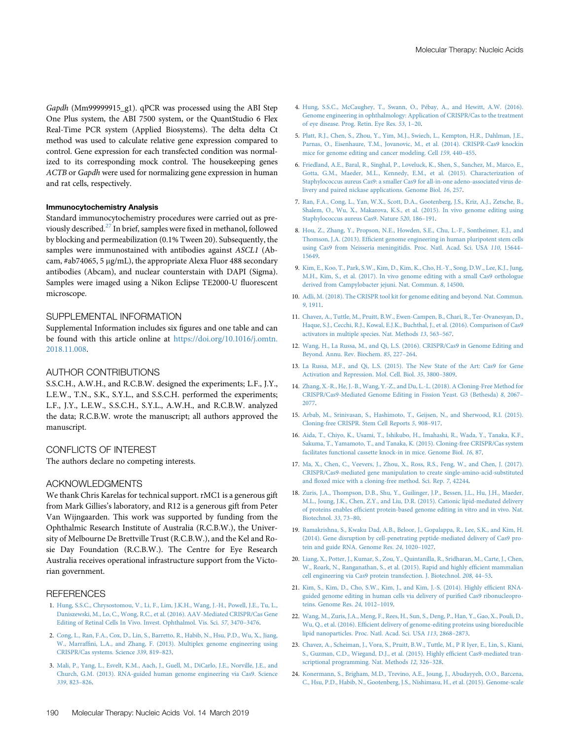Gapdh (Mm99999915\_g1). qPCR was processed using the ABI Step One Plus system, the ABI 7500 system, or the QuantStudio 6 Flex Real-Time PCR system (Applied Biosystems). The delta delta Ct method was used to calculate relative gene expression compared to control. Gene expression for each transfected condition was normalized to its corresponding mock control. The housekeeping genes ACTB or Gapdh were used for normalizing gene expression in human and rat cells, respectively.

#### Immunocytochemistry Analysis

Standard immunocytochemistry procedures were carried out as pre-viously described.<sup>[27](#page-7-1)</sup> In brief, samples were fixed in methanol, followed by blocking and permeabilization (0.1% Tween 20). Subsequently, the samples were immunostained with antibodies against ASCL1 (Abcam, #ab74065, 5 µg/mL), the appropriate Alexa Fluor 488 secondary antibodies (Abcam), and nuclear counterstain with DAPI (Sigma). Samples were imaged using a Nikon Eclipse TE2000-U fluorescent microscope.

#### <span id="page-6-14"></span>SUPPLEMENTAL INFORMATION

Supplemental Information includes six figures and one table and can be found with this article online at [https://doi.org/10.1016/j.omtn.](https://doi.org/10.1016/j.omtn.2018.11.008) [2018.11.008.](https://doi.org/10.1016/j.omtn.2018.11.008)

#### AUTHOR CONTRIBUTIONS

S.S.C.H., A.W.H., and R.C.B.W. designed the experiments; L.F., J.Y., L.E.W., T.N., S.K., S.Y.L., and S.S.C.H. performed the experiments; L.F., J.Y., L.E.W., S.S.C.H., S.Y.L., A.W.H., and R.C.B.W. analyzed the data; R.C.B.W. wrote the manuscript; all authors approved the manuscript.

#### CONFLICTS OF INTEREST

The authors declare no competing interests.

# ACKNOWLEDGMENTS

We thank Chris Karelas for technical support. rMC1 is a generous gift from Mark Gillies's laboratory, and R12 is a generous gift from Peter Van Wijngaarden. This work was supported by funding from the Ophthalmic Research Institute of Australia (R.C.B.W.), the University of Melbourne De Brettville Trust (R.C.B.W.), and the Kel and Rosie Day Foundation (R.C.B.W.). The Centre for Eye Research Australia receives operational infrastructure support from the Victorian government.

#### <span id="page-6-0"></span>**REFERENCES**

- <span id="page-6-1"></span>1. [Hung, S.S.C., Chrysostomou, V., Li, F., Lim, J.K.H., Wang, J.-H., Powell, J.E., Tu, L.,](http://refhub.elsevier.com/S2162-2531(18)30302-0/sref1) [Daniszewski, M., Lo, C., Wong, R.C., et al. \(2016\). AAV-Mediated CRISPR/Cas Gene](http://refhub.elsevier.com/S2162-2531(18)30302-0/sref1) [Editing of Retinal Cells In Vivo. Invest. Ophthalmol. Vis. Sci.](http://refhub.elsevier.com/S2162-2531(18)30302-0/sref1) 57, 3470–3476.
- 2. [Cong, L., Ran, F.A., Cox, D., Lin, S., Barretto, R., Habib, N., Hsu, P.D., Wu, X., Jiang,](http://refhub.elsevier.com/S2162-2531(18)30302-0/sref2) W., Marraffi[ni, L.A., and Zhang, F. \(2013\). Multiplex genome engineering using](http://refhub.elsevier.com/S2162-2531(18)30302-0/sref2) [CRISPR/Cas systems. Science](http://refhub.elsevier.com/S2162-2531(18)30302-0/sref2) 339, 819–823.
- 3. [Mali, P., Yang, L., Esvelt, K.M., Aach, J., Guell, M., DiCarlo, J.E., Norville, J.E., and](http://refhub.elsevier.com/S2162-2531(18)30302-0/sref3) [Church, G.M. \(2013\). RNA-guided human genome engineering via Cas9. Science](http://refhub.elsevier.com/S2162-2531(18)30302-0/sref3) 339[, 823](http://refhub.elsevier.com/S2162-2531(18)30302-0/sref3)–826.
- <span id="page-6-2"></span>4. [Hung, S.S.C., McCaughey, T., Swann, O., Pébay, A., and Hewitt, A.W. \(2016\).](http://refhub.elsevier.com/S2162-2531(18)30302-0/sref4) [Genome engineering in ophthalmology: Application of CRISPR/Cas to the treatment](http://refhub.elsevier.com/S2162-2531(18)30302-0/sref4) [of eye disease. Prog. Retin. Eye Res.](http://refhub.elsevier.com/S2162-2531(18)30302-0/sref4) 53, 1–20.
- 5. [Platt, R.J., Chen, S., Zhou, Y., Yim, M.J., Swiech, L., Kempton, H.R., Dahlman, J.E.,](http://refhub.elsevier.com/S2162-2531(18)30302-0/sref5) [Parnas, O., Eisenhaure, T.M., Jovanovic, M., et al. \(2014\). CRISPR-Cas9 knockin](http://refhub.elsevier.com/S2162-2531(18)30302-0/sref5) [mice for genome editing and cancer modeling. Cell](http://refhub.elsevier.com/S2162-2531(18)30302-0/sref5) 159, 440–455.
- <span id="page-6-3"></span>6. [Friedland, A.E., Baral, R., Singhal, P., Loveluck, K., Shen, S., Sanchez, M., Marco, E.,](http://refhub.elsevier.com/S2162-2531(18)30302-0/sref6) [Gotta, G.M., Maeder, M.L., Kennedy, E.M., et al. \(2015\). Characterization of](http://refhub.elsevier.com/S2162-2531(18)30302-0/sref6) [Staphylococcus aureus Cas9: a smaller Cas9 for all-in-one adeno-associated virus de](http://refhub.elsevier.com/S2162-2531(18)30302-0/sref6)[livery and paired nickase applications. Genome Biol.](http://refhub.elsevier.com/S2162-2531(18)30302-0/sref6) 16, 257.
- 7. [Ran, F.A., Cong, L., Yan, W.X., Scott, D.A., Gootenberg, J.S., Kriz, A.J., Zetsche, B.,](http://refhub.elsevier.com/S2162-2531(18)30302-0/sref7) [Shalem, O., Wu, X., Makarova, K.S., et al. \(2015\). In vivo genome editing using](http://refhub.elsevier.com/S2162-2531(18)30302-0/sref7) [Staphylococcus aureus Cas9. Nature](http://refhub.elsevier.com/S2162-2531(18)30302-0/sref7) 520, 186–191.
- <span id="page-6-4"></span>8. [Hou, Z., Zhang, Y., Propson, N.E., Howden, S.E., Chu, L.-F., Sontheimer, E.J., and](http://refhub.elsevier.com/S2162-2531(18)30302-0/sref8) Thomson, J.A. (2013). Effi[cient genome engineering in human pluripotent stem cells](http://refhub.elsevier.com/S2162-2531(18)30302-0/sref8) [using Cas9 from Neisseria meningitidis. Proc. Natl. Acad. Sci. USA](http://refhub.elsevier.com/S2162-2531(18)30302-0/sref8) 110, 15644– [15649.](http://refhub.elsevier.com/S2162-2531(18)30302-0/sref8)
- <span id="page-6-5"></span>9. [Kim, E., Koo, T., Park, S.W., Kim, D., Kim, K., Cho, H.-Y., Song, D.W., Lee, K.J., Jung,](http://refhub.elsevier.com/S2162-2531(18)30302-0/sref9) [M.H., Kim, S., et al. \(2017\). In vivo genome editing with a small Cas9 orthologue](http://refhub.elsevier.com/S2162-2531(18)30302-0/sref9) [derived from Campylobacter jejuni. Nat. Commun.](http://refhub.elsevier.com/S2162-2531(18)30302-0/sref9) 8, 14500.
- <span id="page-6-6"></span>10. [Adli, M. \(2018\). The CRISPR tool kit for genome editing and beyond. Nat. Commun.](http://refhub.elsevier.com/S2162-2531(18)30302-0/sref10) 9[, 1911](http://refhub.elsevier.com/S2162-2531(18)30302-0/sref10).
- <span id="page-6-7"></span>11. [Chavez, A., Tuttle, M., Pruitt, B.W., Ewen-Campen, B., Chari, R., Ter-Ovanesyan, D.,](http://refhub.elsevier.com/S2162-2531(18)30302-0/sref11) [Haque, S.J., Cecchi, R.J., Kowal, E.J.K., Buchthal, J., et al. \(2016\). Comparison of Cas9](http://refhub.elsevier.com/S2162-2531(18)30302-0/sref11) [activators in multiple species. Nat. Methods](http://refhub.elsevier.com/S2162-2531(18)30302-0/sref11) 13, 563–567.
- <span id="page-6-8"></span>12. [Wang, H., La Russa, M., and Qi, L.S. \(2016\). CRISPR/Cas9 in Genome Editing and](http://refhub.elsevier.com/S2162-2531(18)30302-0/sref12) [Beyond. Annu. Rev. Biochem.](http://refhub.elsevier.com/S2162-2531(18)30302-0/sref12) 85, 227–264.
- 13. [La Russa, M.F., and Qi, L.S. \(2015\). The New State of the Art: Cas9 for Gene](http://refhub.elsevier.com/S2162-2531(18)30302-0/sref13) [Activation and Repression. Mol. Cell. Biol.](http://refhub.elsevier.com/S2162-2531(18)30302-0/sref13) 35, 3800–3809.
- <span id="page-6-9"></span>14. [Zhang, X.-R., He, J.-B., Wang, Y.-Z., and Du, L.-L. \(2018\). A Cloning-Free Method for](http://refhub.elsevier.com/S2162-2531(18)30302-0/sref14) [CRISPR/Cas9-Mediated Genome Editing in Fission Yeast. G3 \(Bethesda\)](http://refhub.elsevier.com/S2162-2531(18)30302-0/sref14) 8, 2067– [2077.](http://refhub.elsevier.com/S2162-2531(18)30302-0/sref14)
- <span id="page-6-10"></span>15. [Arbab, M., Srinivasan, S., Hashimoto, T., Geijsen, N., and Sherwood, R.I. \(2015\).](http://refhub.elsevier.com/S2162-2531(18)30302-0/sref15) [Cloning-free CRISPR. Stem Cell Reports](http://refhub.elsevier.com/S2162-2531(18)30302-0/sref15) 5, 908–917.
- <span id="page-6-11"></span>16. [Aida, T., Chiyo, K., Usami, T., Ishikubo, H., Imahashi, R., Wada, Y., Tanaka, K.F.,](http://refhub.elsevier.com/S2162-2531(18)30302-0/sref16) [Sakuma, T., Yamamoto, T., and Tanaka, K. \(2015\). Cloning-free CRISPR/Cas system](http://refhub.elsevier.com/S2162-2531(18)30302-0/sref16) [facilitates functional cassette knock-in in mice. Genome Biol.](http://refhub.elsevier.com/S2162-2531(18)30302-0/sref16) 16, 87.
- 17. [Ma, X., Chen, C., Veevers, J., Zhou, X., Ross, R.S., Feng, W., and Chen, J. \(2017\).](http://refhub.elsevier.com/S2162-2531(18)30302-0/sref17) [CRISPR/Cas9-mediated gene manipulation to create single-amino-acid-substituted](http://refhub.elsevier.com/S2162-2531(18)30302-0/sref17) and fl[oxed mice with a cloning-free method. Sci. Rep.](http://refhub.elsevier.com/S2162-2531(18)30302-0/sref17) 7, 42244.
- <span id="page-6-12"></span>18. [Zuris, J.A., Thompson, D.B., Shu, Y., Guilinger, J.P., Bessen, J.L., Hu, J.H., Maeder,](http://refhub.elsevier.com/S2162-2531(18)30302-0/sref18) [M.L., Joung, J.K., Chen, Z.Y., and Liu, D.R. \(2015\). Cationic lipid-mediated delivery](http://refhub.elsevier.com/S2162-2531(18)30302-0/sref18) of proteins enables effi[cient protein-based genome editing in vitro and in vivo. Nat.](http://refhub.elsevier.com/S2162-2531(18)30302-0/sref18) [Biotechnol.](http://refhub.elsevier.com/S2162-2531(18)30302-0/sref18) 33, 73–80.
- 19. [Ramakrishna, S., Kwaku Dad, A.B., Beloor, J., Gopalappa, R., Lee, S.K., and Kim, H.](http://refhub.elsevier.com/S2162-2531(18)30302-0/sref19) [\(2014\). Gene disruption by cell-penetrating peptide-mediated delivery of Cas9 pro](http://refhub.elsevier.com/S2162-2531(18)30302-0/sref19)[tein and guide RNA. Genome Res.](http://refhub.elsevier.com/S2162-2531(18)30302-0/sref19) 24, 1020–1027.
- 20. [Liang, X., Potter, J., Kumar, S., Zou, Y., Quintanilla, R., Sridharan, M., Carte, J., Chen,](http://refhub.elsevier.com/S2162-2531(18)30302-0/sref20) [W., Roark, N., Ranganathan, S., et al. \(2015\). Rapid and highly ef](http://refhub.elsevier.com/S2162-2531(18)30302-0/sref20)ficient mammalian [cell engineering via Cas9 protein transfection. J. Biotechnol.](http://refhub.elsevier.com/S2162-2531(18)30302-0/sref20) 208, 44–53.
- 21. [Kim, S., Kim, D., Cho, S.W., Kim, J., and Kim, J.-S. \(2014\). Highly ef](http://refhub.elsevier.com/S2162-2531(18)30302-0/sref21)ficient RNA[guided genome editing in human cells via delivery of puri](http://refhub.elsevier.com/S2162-2531(18)30302-0/sref21)fied Cas9 ribonucleopro[teins. Genome Res.](http://refhub.elsevier.com/S2162-2531(18)30302-0/sref21) 24, 1012–1019.
- 22. [Wang, M., Zuris, J.A., Meng, F., Rees, H., Sun, S., Deng, P., Han, Y., Gao, X., Pouli, D.,](http://refhub.elsevier.com/S2162-2531(18)30302-0/sref22) Wu, Q., et al. (2016). Effi[cient delivery of genome-editing proteins using bioreducible](http://refhub.elsevier.com/S2162-2531(18)30302-0/sref22) [lipid nanoparticles. Proc. Natl. Acad. Sci. USA](http://refhub.elsevier.com/S2162-2531(18)30302-0/sref22) 113, 2868–2873.
- <span id="page-6-13"></span>23. [Chavez, A., Scheiman, J., Vora, S., Pruitt, B.W., Tuttle, M., P R Iyer, E., Lin, S., Kiani,](http://refhub.elsevier.com/S2162-2531(18)30302-0/sref23) [S., Guzman, C.D., Wiegand, D.J., et al. \(2015\). Highly ef](http://refhub.elsevier.com/S2162-2531(18)30302-0/sref23)ficient Cas9-mediated tran[scriptional programming. Nat. Methods](http://refhub.elsevier.com/S2162-2531(18)30302-0/sref23) 12, 326–328.
- <span id="page-6-15"></span>24. [Konermann, S., Brigham, M.D., Trevino, A.E., Joung, J., Abudayyeh, O.O., Barcena,](http://refhub.elsevier.com/S2162-2531(18)30302-0/sref24) [C., Hsu, P.D., Habib, N., Gootenberg, J.S., Nishimasu, H., et al. \(2015\). Genome-scale](http://refhub.elsevier.com/S2162-2531(18)30302-0/sref24)